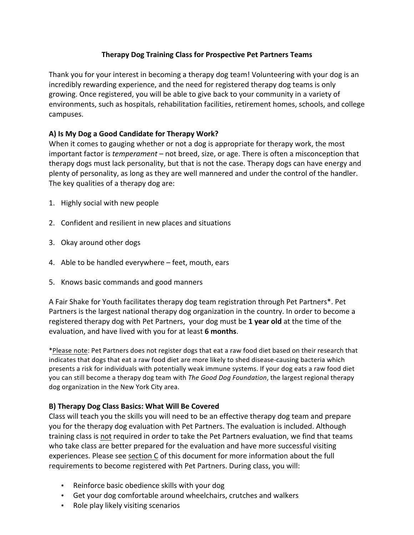# **Therapy Dog Training Class for Prospective Pet Partners Teams**

Thank you for your interest in becoming a therapy dog team! Volunteering with your dog is an incredibly rewarding experience, and the need for registered therapy dog teams is only growing. Once registered, you will be able to give back to your community in a variety of environments, such as hospitals, rehabilitation facilities, retirement homes, schools, and college campuses.

# A) Is My Dog a Good Candidate for Therapy Work?

When it comes to gauging whether or not a dog is appropriate for therapy work, the most important factor is *temperament* – not breed, size, or age. There is often a misconception that therapy dogs must lack personality, but that is not the case. Therapy dogs can have energy and plenty of personality, as long as they are well mannered and under the control of the handler. The key qualities of a therapy dog are:

- 1. Highly social with new people
- 2. Confident and resilient in new places and situations
- 3. Okay around other dogs
- 4. Able to be handled everywhere feet, mouth, ears
- 5. Knows basic commands and good manners

A Fair Shake for Youth facilitates therapy dog team registration through Pet Partners\*. Pet Partners is the largest national therapy dog organization in the country. In order to become a registered therapy dog with Pet Partners, your dog must be 1 year old at the time of the evaluation, and have lived with you for at least 6 months.

\*Please note: Pet Partners does not register dogs that eat a raw food diet based on their research that indicates that dogs that eat a raw food diet are more likely to shed disease-causing bacteria which presents a risk for individuals with potentially weak immune systems. If your dog eats a raw food diet you can still become a therapy dog team with *The Good Dog Foundation*, the largest regional therapy dog organization in the New York City area.

# **B) Therapy Dog Class Basics: What Will Be Covered**

Class will teach you the skills you will need to be an effective therapy dog team and prepare you for the therapy dog evaluation with Pet Partners. The evaluation is included. Although training class is not required in order to take the Pet Partners evaluation, we find that teams who take class are better prepared for the evaluation and have more successful visiting experiences. Please see section C of this document for more information about the full requirements to become registered with Pet Partners. During class, you will:

- Reinforce basic obedience skills with your dog
- Get your dog comfortable around wheelchairs, crutches and walkers
- Role play likely visiting scenarios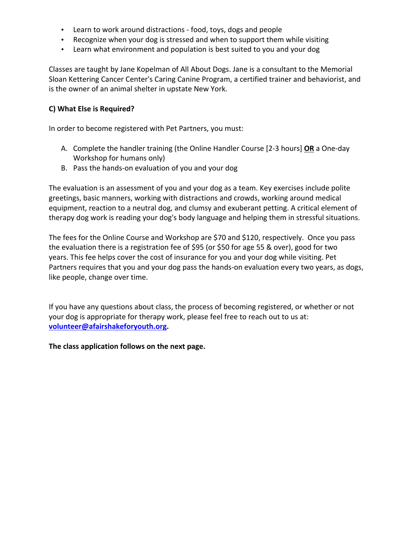- Learn to work around distractions food, toys, dogs and people
- Recognize when your dog is stressed and when to support them while visiting
- Learn what environment and population is best suited to you and your dog

Classes are taught by Jane Kopelman of All About Dogs. Jane is a consultant to the Memorial Sloan Kettering Cancer Center's Caring Canine Program, a certified trainer and behaviorist, and is the owner of an animal shelter in upstate New York.

## **C) What Else is Required?**

In order to become registered with Pet Partners, you must:

- A. Complete the handler training (the Online Handler Course [2-3 hours] OR a One-day Workshop for humans only)
- B. Pass the hands-on evaluation of you and your dog

The evaluation is an assessment of you and your dog as a team. Key exercises include polite greetings, basic manners, working with distractions and crowds, working around medical equipment, reaction to a neutral dog, and clumsy and exuberant petting. A critical element of therapy dog work is reading your dog's body language and helping them in stressful situations.

The fees for the Online Course and Workshop are \$70 and \$120, respectively. Once you pass the evaluation there is a registration fee of \$95 (or \$50 for age 55 & over), good for two years. This fee helps cover the cost of insurance for you and your dog while visiting. Pet Partners requires that you and your dog pass the hands-on evaluation every two years, as dogs, like people, change over time.

If you have any questions about class, the process of becoming registered, or whether or not your dog is appropriate for therapy work, please feel free to reach out to us at: **volunteer@afairshakeforyouth.org.**

The class application follows on the next page.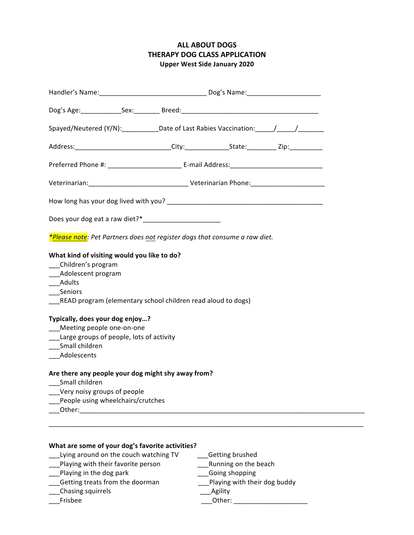# **ALL ABOUT DOGS THERAPY DOG CLASS APPLICATION Upper West Side January 2020**

| Spayed/Neutered (Y/N):___________Date of Last Rabies Vaccination:_____/_____/____                                                                                                                                                                                                                                                                |  |                 |  |  |
|--------------------------------------------------------------------------------------------------------------------------------------------------------------------------------------------------------------------------------------------------------------------------------------------------------------------------------------------------|--|-----------------|--|--|
| Address:______________________________City:________________State:___________Zip:___________________                                                                                                                                                                                                                                              |  |                 |  |  |
|                                                                                                                                                                                                                                                                                                                                                  |  |                 |  |  |
|                                                                                                                                                                                                                                                                                                                                                  |  |                 |  |  |
|                                                                                                                                                                                                                                                                                                                                                  |  |                 |  |  |
|                                                                                                                                                                                                                                                                                                                                                  |  |                 |  |  |
| *Please note: Pet Partners does not register dogs that consume a raw diet.                                                                                                                                                                                                                                                                       |  |                 |  |  |
| What kind of visiting would you like to do?<br>Children's program<br>___Adolescent program<br>___Adults<br>____Seniors<br>__READ program (elementary school children read aloud to dogs)<br>Typically, does your dog enjoy?<br>__Meeting people one-on-one<br>___Large groups of people, lots of activity<br>___Small children<br>___Adolescents |  |                 |  |  |
| Are there any people your dog might shy away from?<br>__Small children<br>Very noisy groups of people<br>People using wheelchairs/crutches                                                                                                                                                                                                       |  |                 |  |  |
|                                                                                                                                                                                                                                                                                                                                                  |  |                 |  |  |
| What are some of your dog's favorite activities?<br>Lying around on the couch watching TV                                                                                                                                                                                                                                                        |  | Getting brushed |  |  |

- \_\_\_Playing with their favorite person \_\_\_Running on the beach
	-
- \_\_\_Playing in the dog park \_\_\_Going shopping \_\_\_Getting treats from the doorman \_\_\_Playing with their dog buddy
	-

Chasing squirrels

\_\_\_Frisbee \_\_\_Other: \_\_\_\_\_\_\_\_\_\_\_\_\_\_\_\_\_\_\_\_